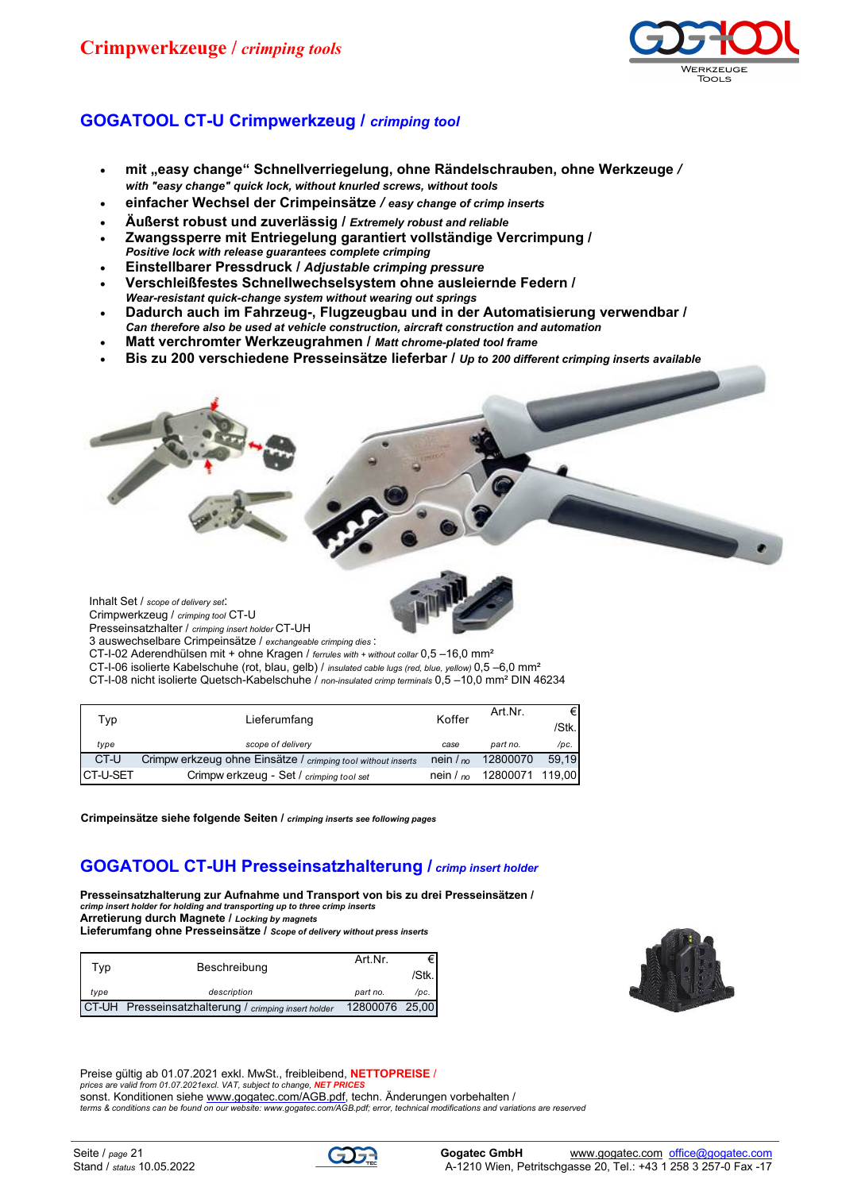# **Crimpwerkzeuge /** *crimping tools*



## **GOGATOOL CT-U Crimpwerkzeug /** *crimping tool*

- **mit "easy change" Schnellverriegelung, ohne Rändelschrauben, ohne Werkzeuge** */ with "easy change" quick lock, without knurled screws, without tools*
- **einfacher Wechsel der Crimpeinsätze** */ easy change of crimp inserts*
- **Äußerst robust und zuverlässig /** *Extremely robust and reliable*
- **Zwangssperre mit Entriegelung garantiert vollständige Vercrimpung /**
- *Positive lock with release guarantees complete crimping*
- **Einstellbarer Pressdruck /** *Adjustable crimping pressure*
- **Verschleißfestes Schnellwechselsystem ohne ausleiernde Federn /**
- *Wear-resistant quick-change system without wearing out springs*
- **Dadurch auch im Fahrzeug-, Flugzeugbau und in der Automatisierung verwendbar /**  *Can therefore also be used at vehicle construction, aircraft construction and automation*
- **Matt verchromter Werkzeugrahmen /** *Matt chrome-plated tool frame*
- **Bis zu 200 verschiedene Presseinsätze lieferbar /** *Up to 200 different crimping inserts available*



Inhalt Set / *scope of delivery set*: Crimpwerkzeug / *crimping tool* CT-U

Presseinsatzhalter / *crimping insert holder* CT-UH

3 auswechselbare Crimpeinsätze / *exchangeable crimping dies* :

- CT-I-02 Aderendhülsen mit + ohne Kragen / *ferrules with + without collar* 0,5 –16,0 mm²
- CT-I-06 isolierte Kabelschuhe (rot, blau, gelb) / *insulated cable lugs (red, blue, yellow)* 0,5 –6,0 mm²

CT-I-08 nicht isolierte Quetsch-Kabelschuhe / *non-insulated crimp terminals* 0,5 –10,0 mm² DIN 46234

| Typ.      | Lieferumfang                                                 | Koffer      | Art.Nr.         | €      |
|-----------|--------------------------------------------------------------|-------------|-----------------|--------|
|           |                                                              |             |                 | /Stk.l |
| type      | scope of delivery                                            | case        | part no.        | /pc.   |
| CT-U      | Crimpw erkzeug ohne Einsätze / crimping tool without inserts | nein $/$ no | 12800070        | 59.19  |
| ICT-U-SET | Crimpw erkzeug - Set / crimping tool set                     | nein $/$ no | 12800071 119,00 |        |

**Crimpeinsätze siehe folgende Seiten /** *crimping inserts see following pages*

## **GOGATOOL CT-UH Presseinsatzhalterung /** *crimp insert holder*

**Presseinsatzhalterung zur Aufnahme und Transport von bis zu drei Presseinsätzen /**  *crimp insert holder for holding and transporting up to three crimp inserts* **Arretierung durch Magnete /** *Locking by magnets* **Lieferumfang ohne Presseinsätze /** *Scope of delivery without press inserts*

|      | Beschreibung                                         | Art Nr.        | €Ι    |
|------|------------------------------------------------------|----------------|-------|
| ™ vp |                                                      |                | /Stk. |
| type | description                                          | part no.       | /pc.  |
|      | CT-UH Presseinsatzhalterung / crimping insert holder | 12800076 25,00 |       |



Preise gültig ab 01.07.2021 exkl. MwSt., freibleibend, **NETTOPREISE** / *prices are valid from 01.07.2021excl. VAT, subject to change.* **NET** sonst. Konditionen siehe [www.gogatec.com/AGB.pdf,](www.gogatec.com/AGB.pdf) techn. Änderungen vorbehalten / *[terms & conditions can be found on our website: www.gogatec.com/AGB.pdf; error, technical m](terms & conditions can be found on our website: www.gogatec.com/AGB.pdf; error, technical )odifications and variations are reserved*

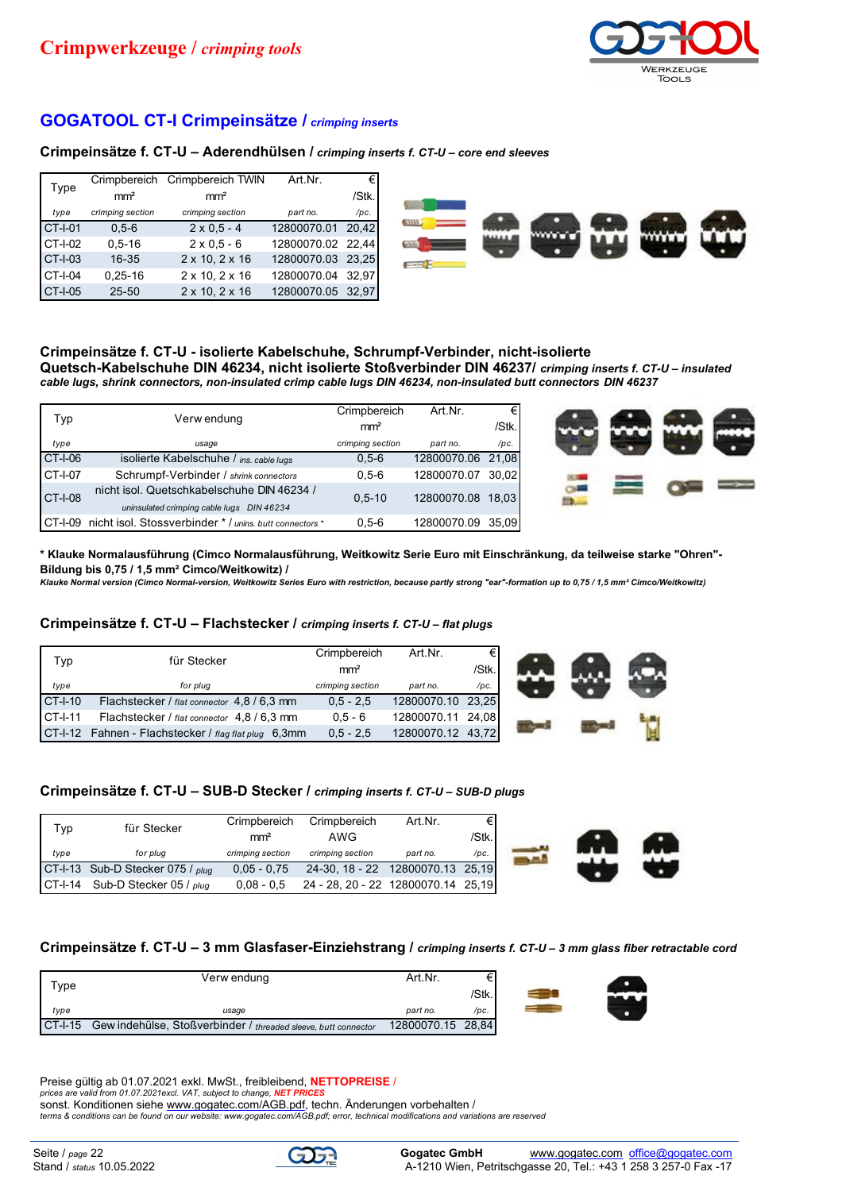

## **GOGATOOL CT-I Crimpeinsätze /** *crimping inserts*

#### **Crimpeinsätze f. CT-U – Aderendhülsen /** *crimping inserts f. CT-U – core end sleeves*

| Type           |                  | Crimpbereich Crimpbereich TWIN | Art.Nr.           | €     |
|----------------|------------------|--------------------------------|-------------------|-------|
|                | mm <sup>2</sup>  | mm <sup>2</sup>                |                   | /Stk. |
| type           | crimping section | crimping section               | part no.          | /pc.  |
| <b>CT-I-01</b> | $0.5 - 6$        | $2 \times 0.5 - 4$             | 12800070.01       | 20.42 |
| CT-I-02        | $0.5 - 16$       | $2 \times 0.5 - 6$             | 12800070.02 22,44 |       |
| <b>CT-I-03</b> | $16 - 35$        | $2 \times 10, 2 \times 16$     | 12800070.03 23,25 |       |
| CT-I-04        | $0.25 - 16$      | $2 \times 10, 2 \times 16$     | 12800070.04 32,97 |       |
| <b>CT-I-05</b> | $25 - 50$        | $2 \times 10, 2 \times 16$     | 12800070.05 32,97 |       |



# **Crimpeinsätze f. CT-U - isolierte Kabelschuhe, Schrumpf-Verbinder, nicht-isolierte**

**Quetsch-Kabelschuhe DIN 46234, nicht isolierte Stoßverbinder DIN 46237/** *crimping inserts f. CT-U – insulated cable lugs, shrink connectors, non-insulated crimp cable lugs DIN 46234, non-insulated butt connectors DIN 46237*

|                | Verw endung                                                                             | Crimpbereich     | Art.Nr.     | €     |
|----------------|-----------------------------------------------------------------------------------------|------------------|-------------|-------|
| Typ            |                                                                                         | mm <sup>2</sup>  |             | /Stk. |
| type           | usage                                                                                   | crimping section | part no.    | /pc.  |
| <b>CT-I-06</b> | isolierte Kabelschuhe / ins. cable lugs                                                 | $0,5-6$          | 12800070.06 | 21.08 |
| CT-I-07        | Schrumpf-Verbinder / shrink connectors                                                  | $0.5 - 6$        | 12800070.07 | 30.02 |
| <b>CT-I-08</b> | nicht isol. Quetschkabelschuhe DIN 46234 /<br>uninsulated crimping cable lugs DIN 46234 | $0.5 - 10$       | 12800070.08 | 18.03 |
| CT-I-09        | nicht isol. Stossverbinder * / unins, butt connectors *                                 | $0,5-6$          | 12800070.09 | 35.09 |



**\* Klauke Normalausführung (Cimco Normalausführung, Weitkowitz Serie Euro mit Einschränkung, da teilweise starke "Ohren"- Bildung bis 0,75 / 1,5 mm² Cimco/Weitkowitz) /** 

*Klauke Normal version (Cimco Normal-version, Weitkowitz Series Euro with restriction, because partly strong "ear"-formation up to 0,75 / 1,5 mm² Cimco/Weitkowitz)*

#### **Crimpeinsätze f. CT-U – Flachstecker /** *crimping inserts f. CT-U – flat plugs*

| Typ.      | für Stecker                                          | Crimpbereich     | Art Nr.           | €     |
|-----------|------------------------------------------------------|------------------|-------------------|-------|
|           |                                                      | mm <sup>2</sup>  |                   | /Stk. |
| type      | for plug                                             | crimping section | part no.          | /pc.  |
| CT-I-10   | Flachstecker / flat connector 4,8 / 6,3 mm           | $0.5 - 2.5$      | 12800070.10 23,25 |       |
| $CT-I-11$ | Flachstecker / flat connector 4,8 / 6,3 mm           | $0.5 - 6$        | 12800070.11 24.08 |       |
|           | CT-I-12 Fahnen - Flachstecker / flag flat plug 6,3mm | $0.5 - 2.5$      | 12800070.12 43,72 |       |



#### **Crimpeinsätze f. CT-U – SUB-D Stecker /** *crimping inserts f. CT-U – SUB-D plugs*

| ⊺vp  | für Stecker                      | Crimpbereich<br>mm <sup>2</sup> | Crimpbereich<br>AWG                | Art Nr.  | €<br>/Stk. |
|------|----------------------------------|---------------------------------|------------------------------------|----------|------------|
| type | for plug                         | crimping section                | crimping section                   | part no. | /pc.       |
|      | CT-I-13 Sub-D Stecker 075 / plug | $0.05 - 0.75$                   | 24-30, 18 - 22 12800070.13 25,19   |          |            |
|      | CT-I-14 Sub-D Stecker 05 / plug  | $0.08 - 0.5$                    | 24 - 28, 20 - 22 12800070.14 25,19 |          |            |



#### **Crimpeinsätze f. CT-U – 3 mm Glasfaser-Einziehstrang /** *crimping inserts f. CT-U – 3 mm glass fiber retractable cord*

| Tvpe       | Verw endung                                                    | Art Nr.           |       |
|------------|----------------------------------------------------------------|-------------------|-------|
|            |                                                                |                   | /Stk. |
| type       | usage                                                          | part no.          | /pc.  |
| $C$ T-I-15 | Gew indehülse, Stoßverbinder / threaded sleeve, butt connector | 12800070.15 28,84 |       |

| €Ι  |  |
|-----|--|
| lk. |  |
| c.  |  |
| a ا |  |

Preise gültig ab 01.07.2021 exkl. MwSt., freibleibend, **NETTOPREISE** / *prices are valid from 01.07.2021excl. VAT, subject to change, NET PRICES* sonst. Konditionen siehe <u>[www.gogatec.com/AGB.pdf,](www.gogatec.com/AGB.pdf)</u> techn. Änderungen vorbehalten /<br>[terms & conditions can be found on our website: www.gogatec.com/AGB.pdf;](terms & conditions can be found on our website: www.gogatec.com/AGB.pdf) error, technical modifications and variations are reserved

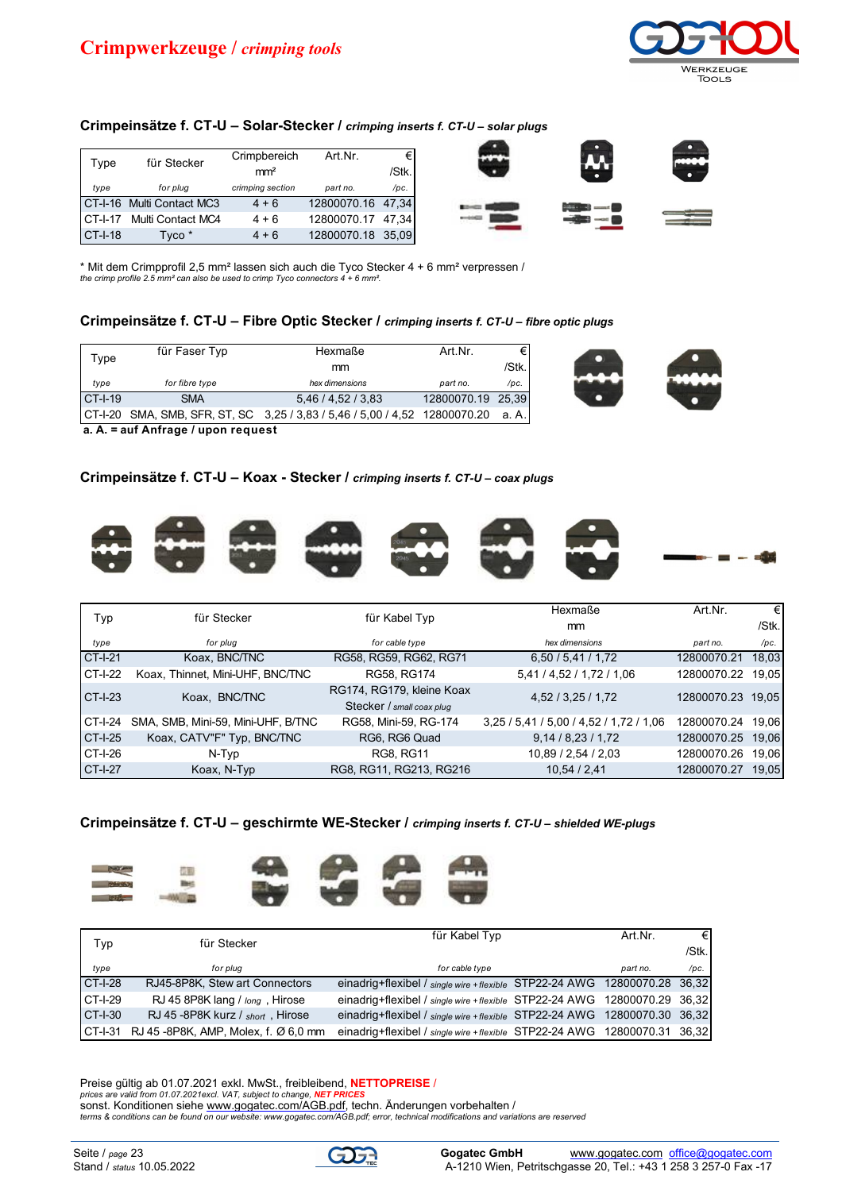

## **Crimpeinsätze f. CT-U – Solar-Stecker /** *crimping inserts f. CT-U – solar plugs*

| Type           | für Stecker               | Crimpbereich     | Art.Nr.           | €     |
|----------------|---------------------------|------------------|-------------------|-------|
|                |                           | mm <sup>2</sup>  |                   | /Stk. |
| type           | for plug                  | crimping section | part no.          | /pc.  |
|                | CT-I-16 Multi Contact MC3 | $4 + 6$          | 12800070.16 47,34 |       |
|                | CT-I-17 Multi Contact MC4 | $4 + 6$          | 12800070.17 47,34 |       |
| <b>CT-I-18</b> | Tyco *                    | $4 + 6$          | 12800070.18       | 35.09 |



\* Mit dem Crimpprofil 2,5 mm² lassen sich auch die Tyco Stecker 4 + 6 mm² verpressen / *the crimp profile 2.5 mm² can also be used to crimp Tyco connectors 4 + 6 mm².*

#### **Crimpeinsätze f. CT-U – Fibre Optic Stecker /** *crimping inserts f. CT-U – fibre optic plugs*

|         | für Faser Typ  | Hexmaße                                                                    | Art Nr.           | €      |
|---------|----------------|----------------------------------------------------------------------------|-------------------|--------|
| Type    |                | mm                                                                         |                   | /Stk.  |
| type    | for fibre type | hex dimensions                                                             | part no.          | /pc.   |
| CT-I-19 | <b>SMA</b>     | 5,46/4,52/3,83                                                             | 12800070.19 25,39 |        |
|         |                | CT-I-20 SMA, SMB, SFR, ST, SC 3,25 / 3,83 / 5,46 / 5,00 / 4,52 12800070.20 |                   | .a A.I |



**a. A. = auf Anfrage / upon request**

## **Crimpeinsätze f. CT-U – Koax - Stecker /** *crimping inserts f. CT-U – coax plugs*



|                | für Stecker                        | für Kabel Typ             | Hexmaße                                 | Art.Nr.           | €     |
|----------------|------------------------------------|---------------------------|-----------------------------------------|-------------------|-------|
| Typ            |                                    |                           | mm                                      |                   | /Stk. |
| type           | for plug                           | for cable type            | hex dimensions                          | part no.          | /pc.  |
| <b>CT-I-21</b> | Koax, BNC/TNC                      | RG58, RG59, RG62, RG71    | 6,50/5,41/1,72                          | 12800070.21       | 18,03 |
| <b>CT-I-22</b> | Koax, Thinnet, Mini-UHF, BNC/TNC   | RG58, RG174               | 5,41 / 4,52 / 1,72 / 1,06               | 12800070.22 19,05 |       |
| $CT-I-23$      | Koax, BNC/TNC                      | RG174, RG179, kleine Koax | 4,52 / 3,25 / 1,72                      | 12800070.23 19,05 |       |
|                |                                    | Stecker / small coax plug |                                         |                   |       |
| CT-I-24        | SMA, SMB, Mini-59, Mini-UHF, B/TNC | RG58, Mini-59, RG-174     | 3,25 / 5,41 / 5,00 / 4,52 / 1,72 / 1,06 | 12800070.24 19.06 |       |
| <b>CT-I-25</b> | Koax, CATV"F" Typ, BNC/TNC         | RG6, RG6 Quad             | 9,14/8,23/1,72                          | 12800070.25 19,06 |       |
| CT-I-26        | N-Typ                              | <b>RG8, RG11</b>          | 10,89 / 2,54 / 2,03                     | 12800070.26       | 19,06 |
| <b>CT-I-27</b> | Koax, N-Typ                        | RG8, RG11, RG213, RG216   | 10.54 / 2.41                            | 12800070.27       | 19.05 |

**Crimpeinsätze f. CT-U – geschirmte WE-Stecker /** *crimping inserts f. CT-U – shielded WE-plugs*



| Typ        | für Stecker                                     | für Kabel Typ                                                            | Art.Nr.  | €Ι       |
|------------|-------------------------------------------------|--------------------------------------------------------------------------|----------|----------|
|            |                                                 |                                                                          |          | $/$ Stk. |
| type       | for plua                                        | for cable type                                                           | part no. | /pc.     |
| $CT-I-28$  | RJ45-8P8K, Stew art Connectors                  | einadrig+flexibel / single wire +flexible STP22-24 AWG 12800070.28 36,32 |          |          |
| CT-I-29    | RJ 45 8P8K lang / long, Hirose                  | einadrig+flexibel / single wire +flexible STP22-24 AWG 12800070.29 36.32 |          |          |
| $C$ T-I-30 | RJ 45-8P8K kurz / short, Hirose                 | einadrig+flexibel / single wire +flexible STP22-24 AWG 12800070.30 36,32 |          |          |
|            | CT-I-31    RJ 45 -8P8K, AMP, Molex, f. Ø 6,0 mm | einadrig+flexibel / single wire +flexible STP22-24 AWG 12800070.31 36,32 |          |          |

Preise gültig ab 01.07.2021 exkl. MwSt., freibleibend, **NETTOPREISE** / *prices are valid from 01.07.2021excl. VAT, subject to change, NET PRICES* sonst. Konditionen siehe [www.gogatec.com/AGB.pdf,](www.gogatec.com/AGB.pdf) techn. Änderungen vorbehalten / *[terms & conditions can be found on our website: www.gogatec.com/AGB.pdf; error, technical m](terms & conditions can be found on our website: www.gogatec.com/AGB.pdf; error, technical )odifications and variations are reserved*

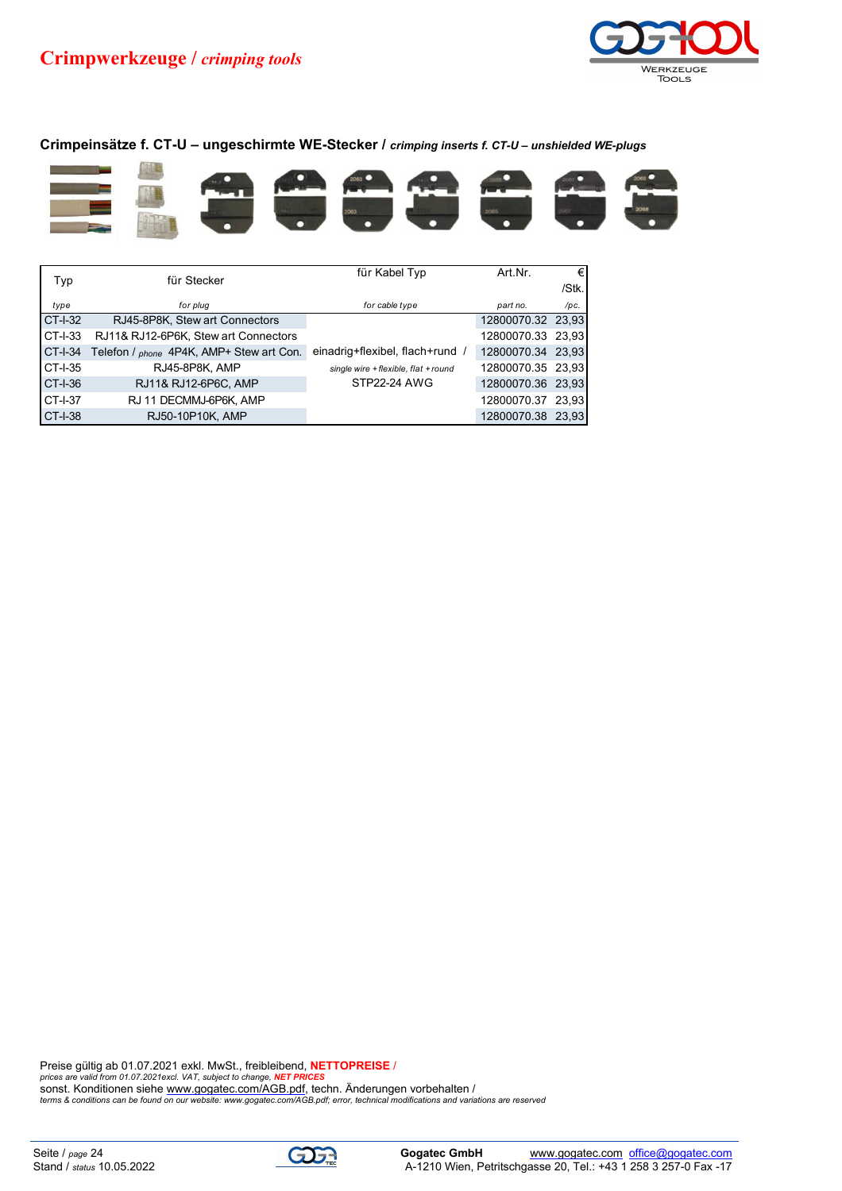

## **Crimpeinsätze f. CT-U – ungeschirmte WE-Stecker /** *crimping inserts f. CT-U – unshielded WE-plugs*



|           | für Stecker                              | für Kabel Typ                        | Art.Nr.           | €     |
|-----------|------------------------------------------|--------------------------------------|-------------------|-------|
| Typ       |                                          |                                      |                   | /Stk. |
| type      | for plug                                 | for cable type                       | part no.          | /pc.  |
| CT-I-32   | RJ45-8P8K, Stew art Connectors           |                                      | 12800070.32 23,93 |       |
| CT-I-33   | RJ11& RJ12-6P6K, Stew art Connectors     |                                      | 12800070.33 23,93 |       |
| CT-I-34   | Telefon / phone 4P4K, AMP+ Stew art Con. | einadrig+flexibel, flach+rund /      | 12800070.34 23,93 |       |
| CT-I-35   | RJ45-8P8K, AMP                           | single wire + flexible, flat + round | 12800070.35 23,93 |       |
| CT-I-36   | RJ11& RJ12-6P6C, AMP                     | <b>STP22-24 AWG</b>                  | 12800070.36 23,93 |       |
| CT-I-37   | RJ 11 DECMMJ-6P6K, AMP                   |                                      | 12800070.37 23,93 |       |
| $CT-I-38$ | RJ50-10P10K, AMP                         |                                      | 12800070.38 23,93 |       |

Preise gültig ab 01.07.2021 exkl. MwSt., freibleibend, **NETTOPREISE /**<br>prices are valid from 01.07.2021excl. VAT, subject to change, <mark>NET PRICES</mark><br>sonst. Konditionen siehe <u>www.gogatec.com/AGB.pdf</u><br>terms & conditions can be

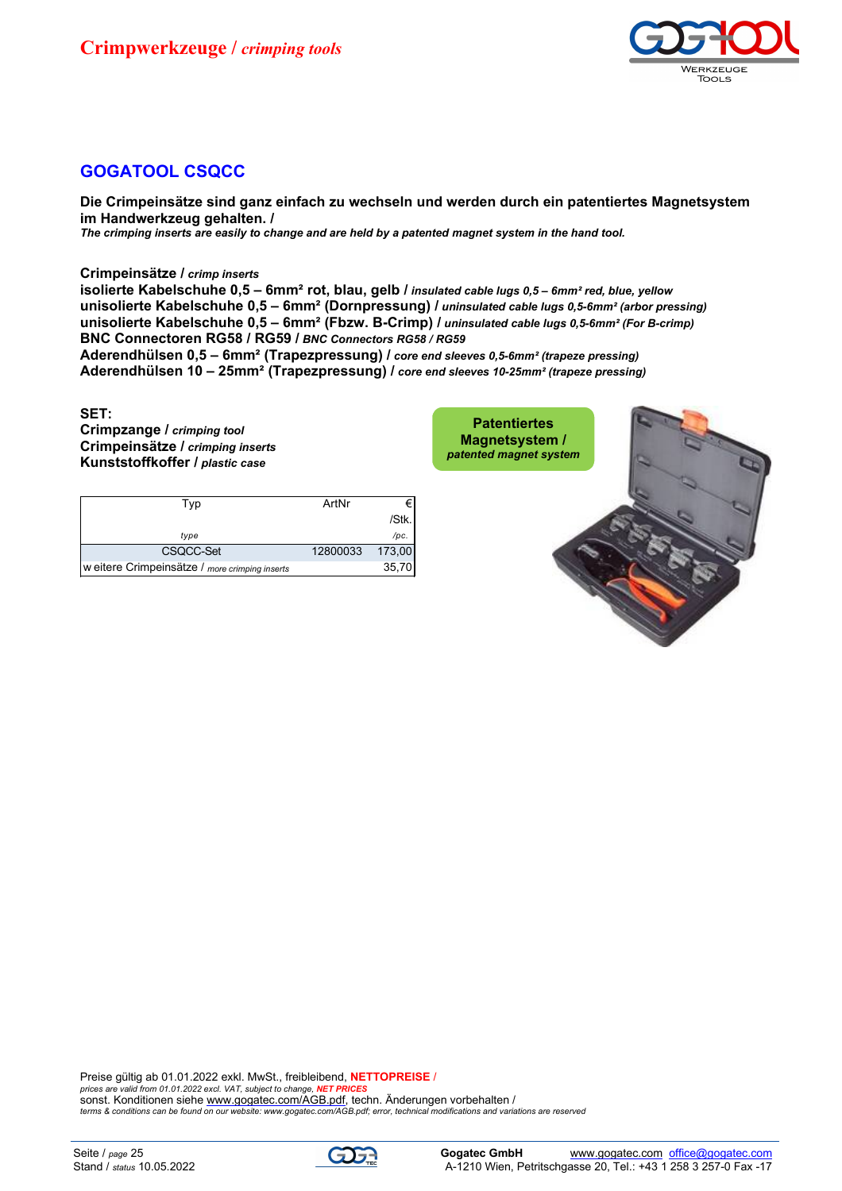

## **GOGATOOL CSQCC**

**Die Crimpeinsätze sind ganz einfach zu wechseln und werden durch ein patentiertes Magnetsystem im Handwerkzeug gehalten. /** *The crimping inserts are easily to change and are held by a patented magnet system in the hand tool.*

**Crimpeinsätze /** *crimp inserts*

**isolierte Kabelschuhe 0,5 – 6mm² rot, blau, gelb /** *insulated cable lugs 0,5 – 6mm² red, blue, yellow* **unisolierte Kabelschuhe 0,5 – 6mm² (Dornpressung) /** *uninsulated cable lugs 0,5-6mm² (arbor pressing)* **unisolierte Kabelschuhe 0,5 – 6mm² (Fbzw. B-Crimp) /** *uninsulated cable lugs 0,5-6mm² (For B-crimp)* **BNC Connectoren RG58 / RG59 /** *BNC Connectors RG58 / RG59*

**Aderendhülsen 0,5 – 6mm² (Trapezpressung) /** *core end sleeves 0,5-6mm² (trapeze pressing)* **Aderendhülsen 10 – 25mm² (Trapezpressung) /** *core end sleeves 10-25mm² (trapeze pressing)*

#### **SET:**

**Crimpzange /** *crimping tool* **Crimpeinsätze /** *crimping inserts* **Kunststoffkoffer /** *plastic case*

| Typ                                            | ArtNr    |        |
|------------------------------------------------|----------|--------|
|                                                |          | /Stk.  |
| type                                           |          | /pc.   |
| CSQCC-Set                                      | 12800033 | 173.00 |
| w eitere Crimpeinsätze / more crimping inserts |          | 35.70  |



Preise gültig ab 01.01.2022 exkl. MwSt., freibleibend, **NETTOPREISE** / *prices are valid from 01.01.2022 excl. VAT, subject to change, NET PRICES* sonst. Konditionen siehe [www.gogatec.com/AGB.pdf,](www.gogatec.com/AGB.pdf) techn. Änderungen vorbehalten / *[terms & conditions can be found on our website: www.gogatec.com/AGB.pdf; error, technical modifications and variations are res](terms & conditions can be found on our website: www.gogatec.com/AGB.pdf; error, technical modifications and variations are re)erved*

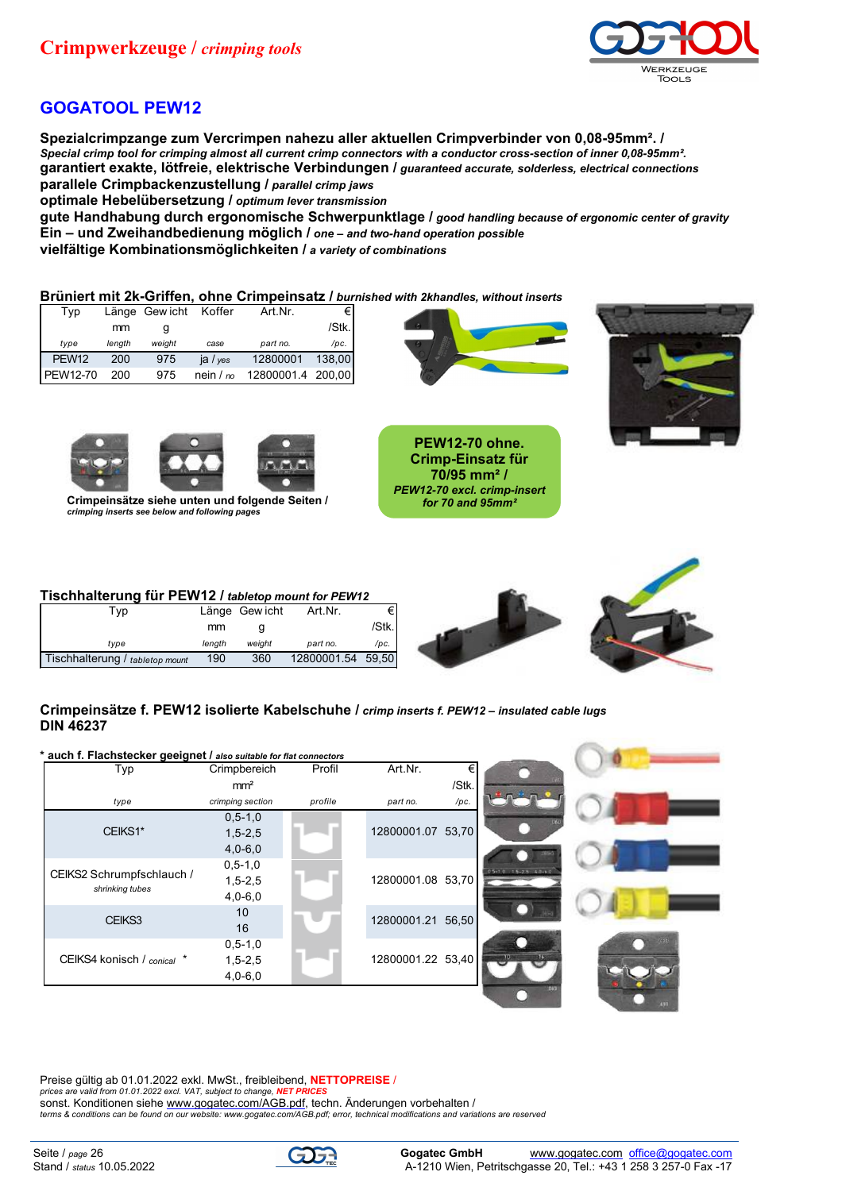

## **GOGATOOL PEW12**

**Spezialcrimpzange zum Vercrimpen nahezu aller aktuellen Crimpverbinder von 0,08-95mm². /** *Special crimp tool for crimping almost all current crimp connectors with a conductor cross-section of inner 0,08-95mm².* **garantiert exakte, lötfreie, elektrische Verbindungen /** *guaranteed accurate, solderless, electrical connections* **parallele Crimpbackenzustellung /** *parallel crimp jaws*

**optimale Hebelübersetzung /** *optimum lever transmission*

**gute Handhabung durch ergonomische Schwerpunktlage /** *good handling because of ergonomic center of gravity* **Ein – und Zweihandbedienung möglich /** *one – and two-hand operation possible*

**vielfältige Kombinationsmöglichkeiten /** *a variety of combinations*

#### **Brüniert mit 2k-Griffen, ohne Crimpeinsatz /** *burnished with 2khandles, without inserts*

| Typ               |        | Länge Gewicht Koffer |             | Art.Nr.           | €Ι     |
|-------------------|--------|----------------------|-------------|-------------------|--------|
|                   | mm     |                      |             |                   | /Stk.  |
| type              | length | weight               | case        | part no.          | /pc.   |
| PEW <sub>12</sub> | 200    | 975                  | ja / $ves$  | 12800001          | 138,00 |
| <b>PEW12-70</b>   | 200    | 975                  | nein $/$ no | 12800001.4 200,00 |        |



**PEW12-70 ohne. Crimp-Einsatz für 70/95 mm² /** *PEW12-70 excl. crimp-insert* 







**Crimpeinsätze siehe unten und folgende Seiten /** *crimping inserts see below and following pages*

### **Tischhalterung für PEW12 /** *tabletop mount for PEW12*

| Tvp                             |        | Länge Gew icht | Art.Nr.           | ا€     |
|---------------------------------|--------|----------------|-------------------|--------|
|                                 | mm     |                |                   | /Stk.I |
| tvpe                            | lenath | weiaht         | part no.          | /pc.   |
| Tischhalterung / tabletop mount | 190    | 360            | 12800001.54 59,50 |        |



## **Crimpeinsätze f. PEW12 isolierte Kabelschuhe /** *crimp inserts f. PEW12 – insulated cable lugs* **DIN 46237**

| * auch f. Flachstecker geeignet / also suitable for flat connectors |                  |         |                   |       |                          |  |
|---------------------------------------------------------------------|------------------|---------|-------------------|-------|--------------------------|--|
| Typ                                                                 | Crimpbereich     | Profil  | Art.Nr.           |       |                          |  |
|                                                                     | mm <sup>2</sup>  |         |                   | /Stk. |                          |  |
| type                                                                | crimping section | profile | part no.          | /pc.  |                          |  |
|                                                                     | $0, 5 - 1, 0$    |         |                   |       |                          |  |
| CEIKS1*                                                             | $1, 5 - 2, 5$    |         | 12800001.07 53,70 |       |                          |  |
|                                                                     | $4,0-6,0$        |         |                   |       |                          |  |
|                                                                     | $0, 5 - 1, 0$    |         |                   |       | 05-10 15-25 40-60        |  |
| CEIKS2 Schrumpfschlauch /<br>shrinking tubes                        | $1, 5 - 2, 5$    |         | 12800001.08 53,70 |       |                          |  |
|                                                                     | $4,0-6,0$        |         |                   |       |                          |  |
| CEIKS3                                                              | 10               |         | 12800001.21 56,50 |       |                          |  |
|                                                                     | 16               |         |                   |       |                          |  |
|                                                                     | $0, 5 - 1, 0$    |         |                   |       |                          |  |
| CEIKS4 konisch / conical *                                          | $1,5 - 2,5$      |         | 12800001.22 53,40 |       | $\overline{\mathcal{M}}$ |  |
|                                                                     | $4,0 - 6,0$      |         |                   |       |                          |  |
|                                                                     |                  |         |                   |       |                          |  |

Preise gültig ab 01.01.2022 exkl. MwSt., freibleibend, **NETTOPREISE** / *prices are valid from 01.01.2022 excl. VAT, subject to change, NET PRICES*

sonst. Konditionen siehe [www.gogatec.com/AGB.pdf,](www.gogatec.com/AGB.pdf) techn. Änderungen vorbehalten /

*[terms & conditions can be found on our website: www.gogatec.com/AGB.pdf; error, technic](terms & conditions can be found on our website: www.gogatec.com/AGB.pdf; error, techni)al modifications and variations are reserved*

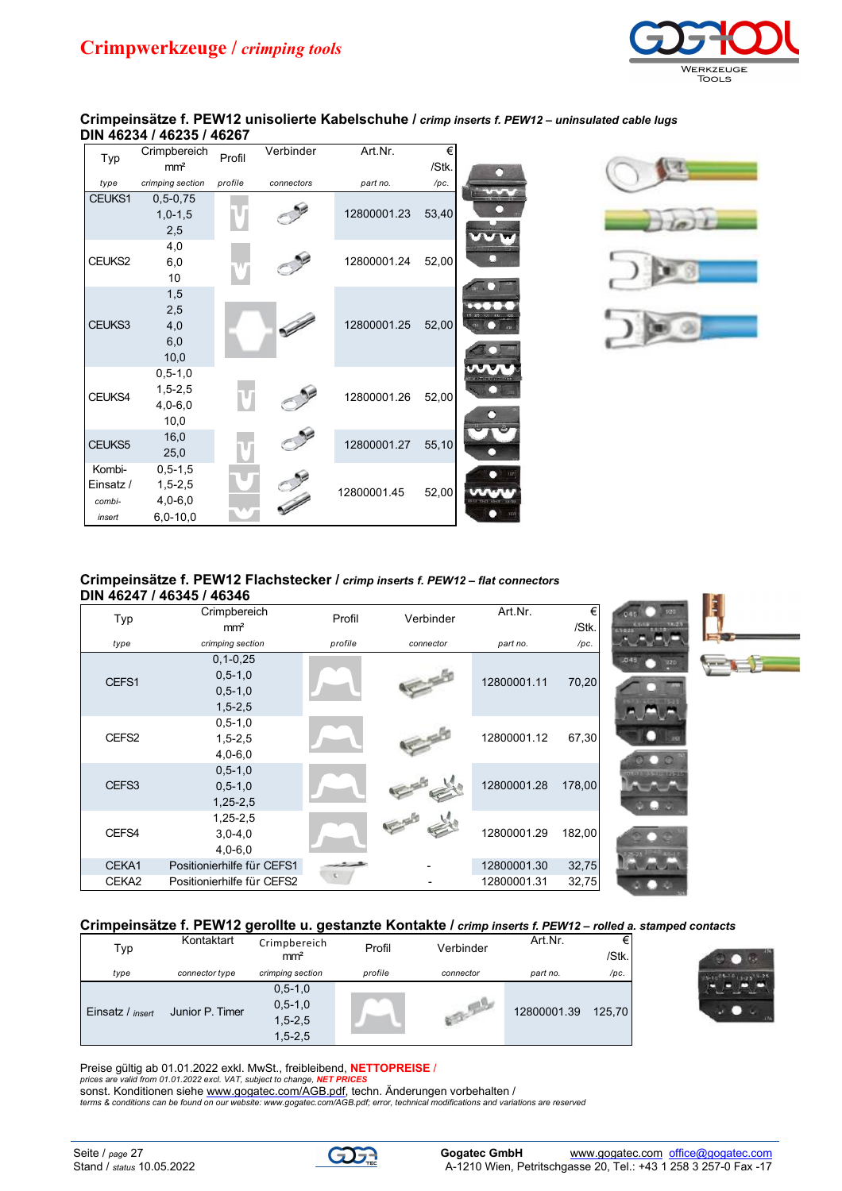

#### **Crimpeinsätze f. PEW12 unisolierte Kabelschuhe /** *crimp inserts f. PEW12 – uninsulated cable lugs* **DIN 46234 / 46235 / 46267**

|                                         | Crimpbereich                                            |         | Verbinder  | Art.Nr.     | €     |  |
|-----------------------------------------|---------------------------------------------------------|---------|------------|-------------|-------|--|
| Typ                                     | mm <sup>2</sup>                                         | Profil  |            |             | /Stk. |  |
| type                                    | crimping section                                        | profile | connectors | part no.    | /pc.  |  |
| CEUKS1                                  | $0, 5 - 0, 75$<br>$1,0-1,5$<br>2,5                      |         |            | 12800001.23 | 53,40 |  |
| CEUKS2                                  | 4,0<br>6,0<br>10                                        |         |            | 12800001.24 | 52,00 |  |
| CEUKS3                                  | 1,5<br>2,5<br>4,0<br>6,0<br>10,0                        |         |            | 12800001.25 | 52,00 |  |
| CEUKS4                                  | $0, 5 - 1, 0$<br>$1, 5 - 2, 5$<br>$4,0-6,0$<br>10,0     |         |            | 12800001.26 | 52,00 |  |
| CEUKS5                                  | 16,0<br>25,0                                            |         |            | 12800001.27 | 55,10 |  |
| Kombi-<br>Einsatz /<br>combi-<br>insert | $0, 5 - 1, 5$<br>$1,5 - 2,5$<br>$4,0-6,0$<br>$6,0-10,0$ |         |            | 12800001.45 | 52,00 |  |



#### **Crimpeinsätze f. PEW12 Flachstecker /** *crimp inserts f. PEW12 – flat connectors* **DIN 46247 / 46345 / 46346**

| Typ   | Crimpbereich<br>mm <sup>2</sup>                               | Profil  | Verbinder | Art.Nr.     | €<br>/Stk. | $-0.0000$<br>3525          |  |
|-------|---------------------------------------------------------------|---------|-----------|-------------|------------|----------------------------|--|
| type  | crimping section                                              | profile | connector | part no.    | /pc.       |                            |  |
| CEFS1 | $0, 1 - 0, 25$<br>$0, 5 - 1, 0$<br>$0, 5 - 1, 0$<br>$1,5-2,5$ |         |           | 12800001.11 | 70,20      | .045<br>320                |  |
| CEFS2 | $0, 5 - 1, 0$<br>$1, 5 - 2, 5$<br>$4,0-6,0$                   |         |           | 12800001.12 | 67,30      |                            |  |
| CEFS3 | $0, 5 - 1, 0$<br>$0, 5 - 1, 0$<br>$1,25-2,5$                  |         |           | 12800001.28 | 178,00     | <b>ADDITIONAL PROPERTY</b> |  |
| CEFS4 | $1,25-2,5$<br>$3,0-4,0$<br>$4,0 - 6,0$                        |         |           | 12800001.29 | 182,00     |                            |  |
| CEKA1 | Positionierhilfe für CEFS1                                    |         |           | 12800001.30 | 32,75      | <b>COLOR</b>               |  |
| CEKA2 | Positionierhilfe für CEFS2                                    |         |           | 12800001.31 | 32,75      |                            |  |

## **Crimpeinsätze f. PEW12 gerollte u. gestanzte Kontakte /** *crimp inserts f. PEW12 – rolled a. stamped contacts*

| Typ                     | Kontaktart      | Crimpbereich<br>mm <sup>2</sup> | Profil  | Verbinder | Art.Nr.     | €∣<br>/Stk. |
|-------------------------|-----------------|---------------------------------|---------|-----------|-------------|-------------|
| type                    | connector type  | crimping section                | profile | connector | part no.    | /pc.        |
|                         |                 | $0, 5 - 1, 0$<br>$0, 5 - 1, 0$  |         |           |             |             |
| Einsatz / <i>insert</i> | Junior P. Timer | $1,5-2,5$                       |         |           | 12800001.39 | 125.70      |
|                         |                 | $1,5 - 2,5$                     |         |           |             |             |



**SILLER** 

Preise gültig ab 01.01.2022 exkl. MwSt., freibleibend, **NETTOPREISE** / *prices are valid from 01.01.2022 excl. VAT, subject to change, NET PRICES*

sonst. Konditionen siehe [www.gogatec.com/AGB.pdf,](www.gogatec.com/AGB.pdf) techn. Änderungen vorbehalten / *terms &<conditions can be found on our website: www.gogatec.com/AGB.pdf; error, technical modifications and variations are reserved>*

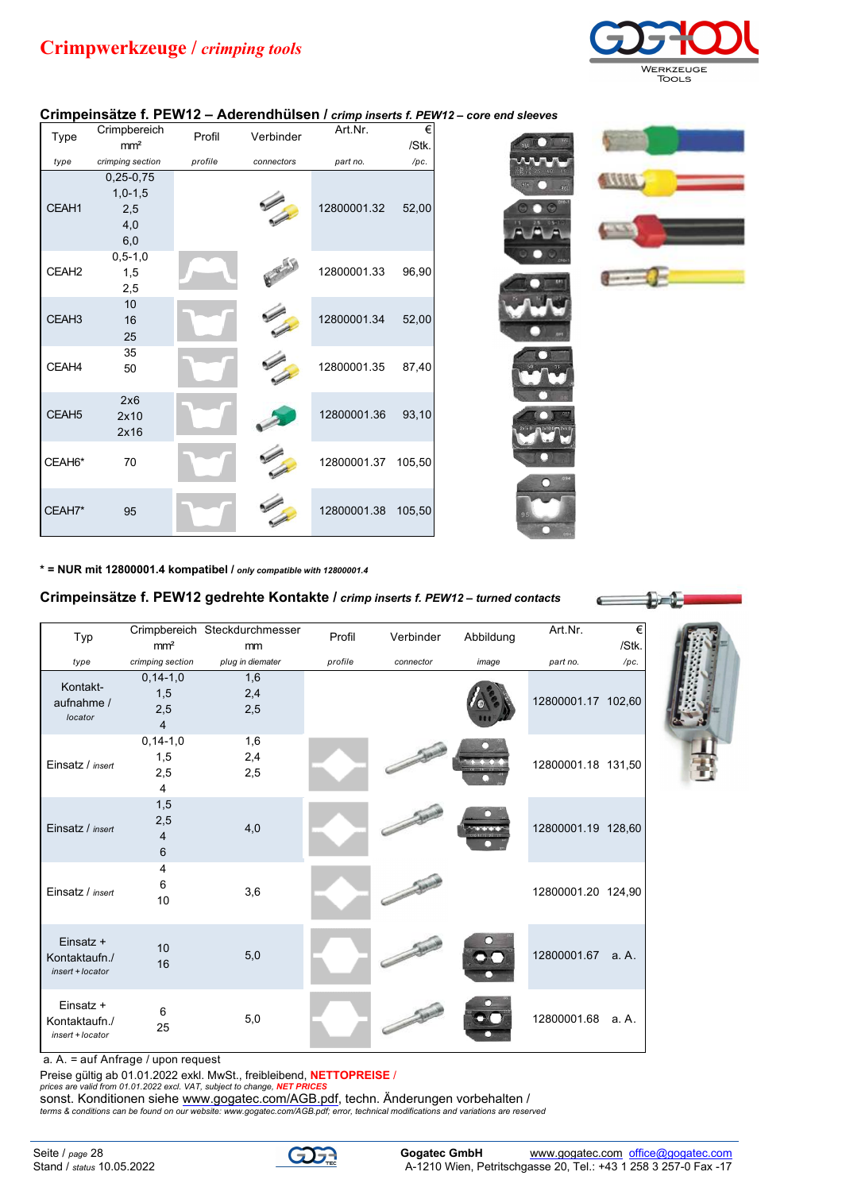# **Crimpwerkzeuge /** *crimping tools*



 $1 - 1$ 

## **Crimpeinsätze f. PEW12 – Aderendhülsen /** *crimp inserts f. PEW12 – core end sleeves*

| Type              | Crimpbereich<br>mm <sup>2</sup> | Profil  | Verbinder  | Art.Nr.            | €<br>/Stk. |
|-------------------|---------------------------------|---------|------------|--------------------|------------|
| type              | crimping section                | profile | connectors | part no.           | /pc.       |
|                   | $0,25-0,75$                     |         |            |                    |            |
|                   | $1,0-1,5$                       |         |            |                    |            |
| CEAH1             | 2,5                             |         |            | 12800001.32        | 52,00      |
|                   | 4,0                             |         |            |                    |            |
|                   | 6,0                             |         |            |                    |            |
| CEAH <sub>2</sub> | $0, 5 - 1, 0$<br>1,5            |         |            | 12800001.33        | 96,90      |
|                   | 2,5                             |         |            |                    |            |
|                   | $10\,$                          |         |            |                    |            |
| CEAH <sub>3</sub> | $16\,$                          |         |            | 12800001.34        | 52,00      |
|                   | 25                              |         |            |                    |            |
|                   | 35                              |         |            |                    |            |
| CEAH4             | 50                              |         |            | 12800001.35        | 87,40      |
|                   |                                 |         |            |                    |            |
|                   | 2x6                             |         |            |                    |            |
| CEAH <sub>5</sub> | 2x10                            |         |            | 12800001.36        | 93,10      |
|                   | 2x16                            |         |            |                    |            |
| CEAH6*            | 70                              |         |            | 12800001.37        | 105,50     |
|                   |                                 |         |            |                    |            |
|                   |                                 |         |            |                    |            |
| CEAH7*            | 95                              |         |            | 12800001.38 105,50 |            |
|                   |                                 |         |            |                    |            |

**\* = NUR mit 12800001.4 kompatibel /** *only compatible with 12800001.4*

## **Crimpeinsätze f. PEW12 gedrehte Kontakte /** *crimp inserts f. PEW12 – turned contacts*

| Typ                                            | mm <sup>2</sup>                                | Crimpbereich Steckdurchmesser<br>mm | Profil  | Verbinder | Abbildung | Art.Nr.            | €<br>/Stk. |
|------------------------------------------------|------------------------------------------------|-------------------------------------|---------|-----------|-----------|--------------------|------------|
| type                                           | crimping section                               | plug in diemater                    | profile | connector | image     | part no.           | /pc.       |
| Kontakt-<br>aufnahme /<br>locator              | $0, 14 - 1, 0$<br>1,5<br>2,5<br>$\overline{4}$ | 1,6<br>2,4<br>2,5                   |         |           |           | 12800001.17 102,60 |            |
| Einsatz / insert                               | $0, 14 - 1, 0$<br>1,5<br>2,5<br>4              | 1,6<br>2,4<br>2,5                   |         |           |           | 12800001.18 131,50 |            |
| Einsatz / insert                               | 1,5<br>2,5<br>4<br>6                           | 4,0                                 |         |           |           | 12800001.19 128,60 |            |
| Einsatz / insert                               | 4<br>6<br>10                                   | 3,6                                 |         |           |           | 12800001.20 124,90 |            |
| Einsatz +<br>Kontaktaufn./<br>insert + locator | 10<br>16                                       | 5,0                                 |         |           |           | 12800001.67 a.A.   |            |
| Einsatz +<br>Kontaktaufn./<br>insert + locator | 6<br>25                                        | 5,0                                 |         |           |           | 12800001.68        | a. A.      |

a. A. = auf Anfrage / upon request

Preise gültig ab 01.01.2022 exkl. MwSt., freibleibend, **NETTOPREISE** /

*prices are valid from 01.01.2022 excl. VAT, subject to change, NET PRICES*

sonst. Konditionen siehe <www.gogatec.com/AGB.pdf>, techn. Änderungen vorbehalten / *[terms & conditions can be found on our website: www.gogatec.com/AGB.pdf; error, technic](terms & conditions can be found on our website: www.gogatec.com/AGB.pdf; error, techni)al modifications and variations are reserved*

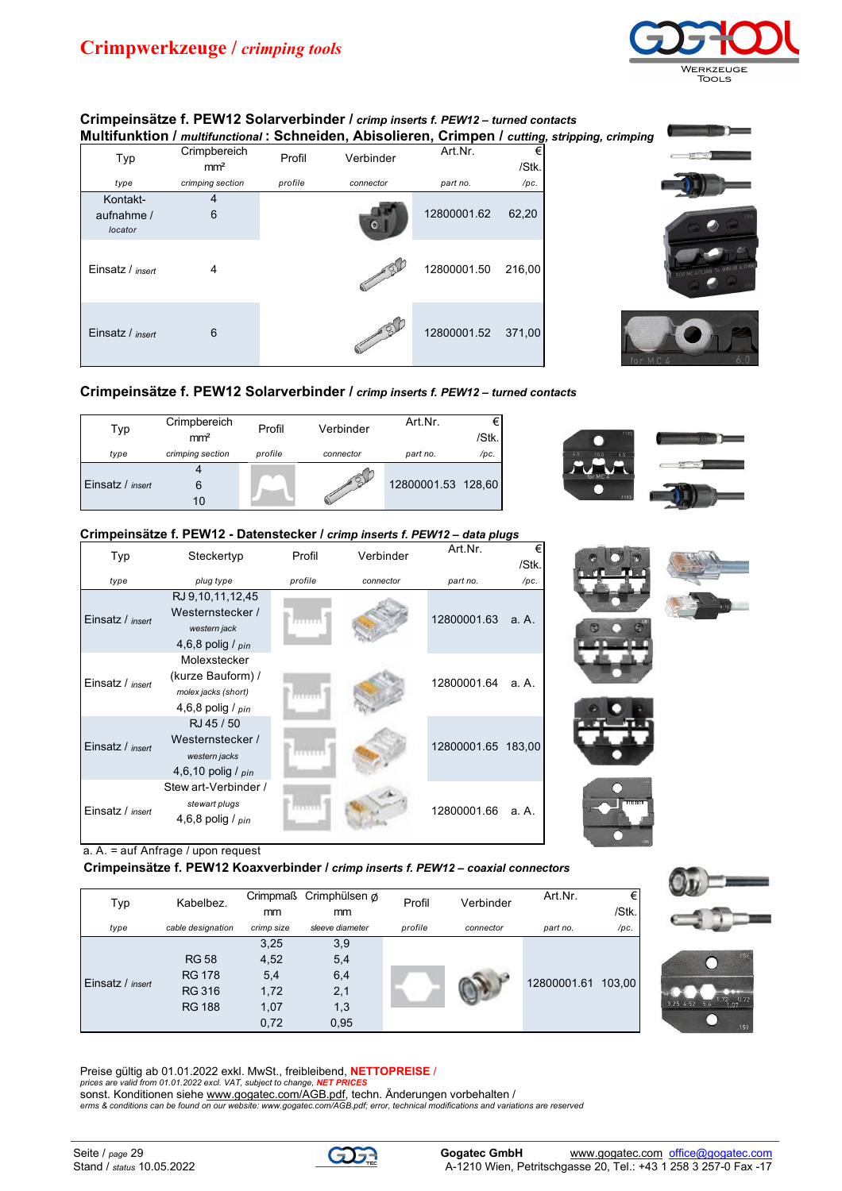

#### **Crimpeinsätze f. PEW12 Solarverbinder /** *crimp inserts f. PEW12 – turned contacts* **Multifunktion /** *multifunctional* **: Schneiden, Abisolieren, Crimpen /** *cutting, stripping, crimping*

| Typ                               | Crimpbereich<br>mm <sup>2</sup> | Profil  | Verbinder | Art.Nr.     | €<br>/Stk. |
|-----------------------------------|---------------------------------|---------|-----------|-------------|------------|
| type                              | crimping section                | profile | connector | part no.    | /pc.       |
| Kontakt-<br>aufnahme /<br>locator | 6                               |         |           | 12800001.62 | 62,20      |
| Einsatz / insert                  | 4                               |         |           | 12800001.50 | 216,00     |
| Einsatz / insert                  | 6                               |         |           | 12800001.52 | 371,00     |





## **Crimpeinsätze f. PEW12 Solarverbinder /** *crimp inserts f. PEW12 – turned contacts*

| Typ                     | Crimpbereich<br>mm <sup>2</sup> | Profil  | Verbinder | Art Nr.            | €<br>/Stk. |
|-------------------------|---------------------------------|---------|-----------|--------------------|------------|
| type                    | crimping section                | profile | connector | part no.           | /pc.       |
| Einsatz / <i>insert</i> | 10                              |         |           | 12800001.53 128,60 |            |



## **Crimpeinsätze f. PEW12 - Datenstecker /** *crimp inserts f. PEW12 – data plugs*

| Typ              | Steckertyp                                                                    | Profil  | Verbinder | Art.Nr.            | €<br>/Stk. |  |
|------------------|-------------------------------------------------------------------------------|---------|-----------|--------------------|------------|--|
| type             | plug type                                                                     | profile | connector | part no.           | /pc.       |  |
| Einsatz / insert | RJ 9,10,11,12,45<br>Westernstecker /<br>western jack<br>4,6,8 polig / $pin$   | 1133111 |           | 12800001.63        | a. A.      |  |
| Einsatz / insert | Molexstecker<br>(kurze Bauform) /<br>molex jacks (short)<br>4,6,8 polig / pin |         |           | 12800001.64        | a. A.      |  |
| Einsatz / insert | RJ 45 / 50<br>Westernstecker /<br>western jacks<br>4,6,10 polig / $pin$       |         |           | 12800001.65 183,00 |            |  |
| Einsatz / insert | Stew art-Verbinder /<br>stewart plugs<br>4,6,8 polig / $pin$                  |         |           | 12800001.66        | a. A.      |  |

a. A. = auf Anfrage / upon request

**Crimpeinsätze f. PEW12 Koaxverbinder /** *crimp inserts f. PEW12 – coaxial connectors*

| Typ              | Kabelbez.         | mm         | Crimpmaß Crimphülsen of<br>mm | Profil  | Verbinder | Art.Nr.     | €<br>/Stk. |
|------------------|-------------------|------------|-------------------------------|---------|-----------|-------------|------------|
| type             | cable designation | crimp size | sleeve diameter               | profile | connector | part no.    | /pc.       |
| Einsatz / insert |                   | 3,25       | 3,9                           |         |           |             |            |
|                  | <b>RG 58</b>      | 4,52       | 5,4                           |         |           | 12800001.61 |            |
|                  | <b>RG 178</b>     | 5,4        | 6,4                           |         |           |             | 103.00     |
|                  | <b>RG 316</b>     | 1,72       | 2,1                           |         |           |             |            |
|                  | <b>RG 188</b>     | 1,07       | 1,3                           |         |           |             |            |
|                  |                   | 0,72       | 0,95                          |         |           |             |            |



sonst. Konditionen siehe <u>www.gogatec.com/AGB.pdf</u>, techn. Änderungen vorbehalten /<br>erms & conditions can be found on our website: <www.gogatec.com/AGB.pdf; error, technical modifications and variations are reserved>